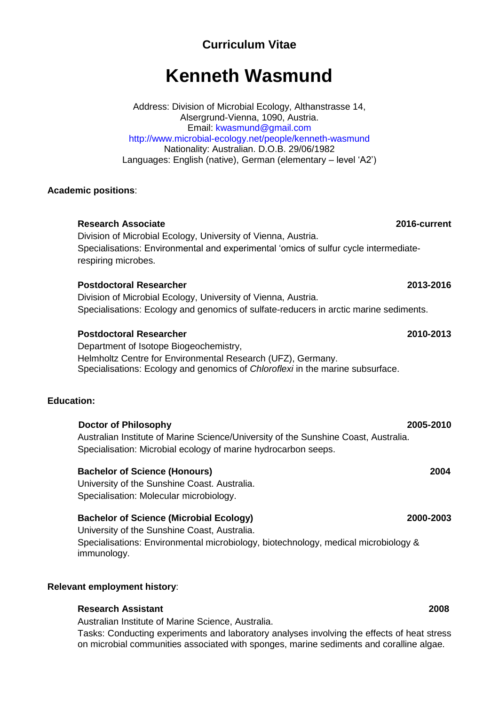# **Curriculum Vitae**

# **Kenneth Wasmund**

Address: Division of Microbial Ecology, Althanstrasse 14, Alsergrund-Vienna, 1090, Austria. Email: kwasmund@gmail.com http://www.microbial-ecology.net/people/kenneth-wasmund Nationality: Australian. D.O.B. 29/06/1982 Languages: English (native), German (elementary – level 'A2')

# **Academic positions**:

# **Research Associate 2016-current** Division of Microbial Ecology, University of Vienna, Austria. Specialisations: Environmental and experimental 'omics of sulfur cycle intermediaterespiring microbes.

# **Postdoctoral Researcher 2013-2016**

Division of Microbial Ecology, University of Vienna, Austria. Specialisations: Ecology and genomics of sulfate-reducers in arctic marine sediments.

# **Postdoctoral Researcher 2010-2013**

Department of Isotope Biogeochemistry, Helmholtz Centre for Environmental Research (UFZ), Germany. Specialisations: Ecology and genomics of *Chloroflexi* in the marine subsurface.

# **Education:**

 **Doctor of Philosophy 2005-2010** Australian Institute of Marine Science/University of the Sunshine Coast, Australia. Specialisation: Microbial ecology of marine hydrocarbon seeps.

# **Bachelor of Science (Honours) 2004**

University of the Sunshine Coast. Australia. Specialisation: Molecular microbiology.

# **Bachelor of Science (Microbial Ecology) 2000-2003**

University of the Sunshine Coast, Australia. Specialisations: Environmental microbiology, biotechnology, medical microbiology & immunology.

# **Relevant employment history**:

# **Research Assistant 2008**

Australian Institute of Marine Science, Australia.

Tasks: Conducting experiments and laboratory analyses involving the effects of heat stress on microbial communities associated with sponges, marine sediments and coralline algae.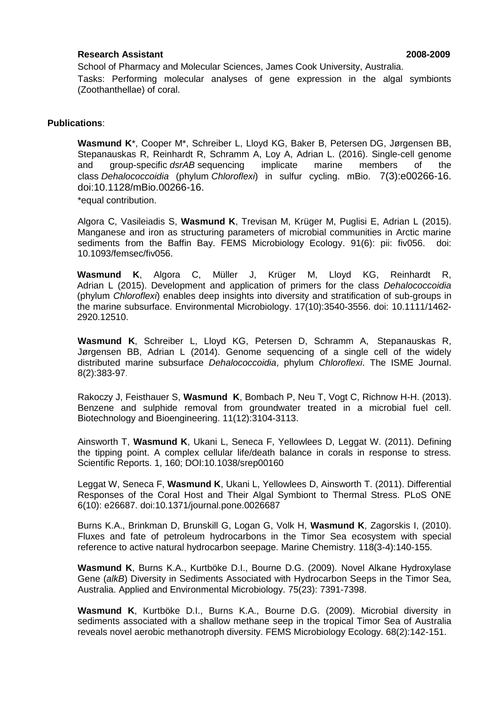### **Research Assistant 2008-2009**

School of Pharmacy and Molecular Sciences, James Cook University, Australia. Tasks: Performing molecular analyses of gene expression in the algal symbionts (Zoothanthellae) of coral.

### **Publications**:

**Wasmund K**\*, Cooper M\*, Schreiber L, Lloyd KG, Baker B, Petersen DG, Jørgensen BB, Stepanauskas R, Reinhardt R, Schramm A, Loy A, Adrian L. (2016). Single-cell genome and group-specific *dsrAB* sequencing implicate marine members of the class *Dehalococcoidia* (phylum *Chloroflexi*) in sulfur cycling. mBio. 7(3):e00266-16. doi:10.1128/mBio.00266-16. \*equal contribution.

Algora C, Vasileiadis S, **Wasmund K**, Trevisan M, Krüger M, Puglisi E, Adrian L (2015). Manganese and iron as structuring parameters of microbial communities in Arctic marine sediments from the Baffin Bay. FEMS Microbiology Ecology. 91(6): pii: fiv056. doi: 10.1093/femsec/fiv056.

**Wasmund K**, Algora C, Müller J, Krüger M, Lloyd KG, Reinhardt R, Adrian L (2015). Development and application of primers for the class *Dehalococcoidia* (phylum *Chloroflexi*) enables deep insights into diversity and stratification of sub-groups in the marine subsurface. Environmental Microbiology. 17(10):3540-3556. doi: 10.1111/1462- 2920.12510.

**Wasmund K**, Schreiber L, Lloyd KG, Petersen D, Schramm A, Stepanauskas R, Jørgensen BB, Adrian L (2014). Genome sequencing of a single cell of the widely distributed marine subsurface *Dehalococcoidia*, phylum *Chloroflexi*. The ISME Journal. 8(2):383-97.

Rakoczy J, Feisthauer S, **Wasmund K**, Bombach P, Neu T, Vogt C, Richnow H-H. (2013). Benzene and sulphide removal from groundwater treated in a microbial fuel cell. Biotechnology and Bioengineering. 11(12):3104-3113.

Ainsworth T, **Wasmund K**, Ukani L, Seneca F, Yellowlees D, Leggat W. (2011). Defining the tipping point. A complex cellular life/death balance in corals in response to stress. Scientific Reports. 1, 160; DOI:10.1038/srep00160

Leggat W, Seneca F, **Wasmund K**, Ukani L, Yellowlees D, Ainsworth T. (2011). Differential Responses of the Coral Host and Their Algal Symbiont to Thermal Stress. PLoS ONE 6(10): e26687. doi:10.1371/journal.pone.0026687

Burns K.A., Brinkman D, Brunskill G, Logan G, Volk H, **Wasmund K**, Zagorskis I, (2010). Fluxes and fate of petroleum hydrocarbons in the Timor Sea ecosystem with special reference to active natural hydrocarbon seepage. Marine Chemistry. 118(3-4):140-155.

**Wasmund K**, Burns K.A., Kurtböke D.I., Bourne D.G. (2009). Novel Alkane Hydroxylase Gene (*alkB*) Diversity in Sediments Associated with Hydrocarbon Seeps in the Timor Sea, Australia. Applied and Environmental Microbiology. 75(23): 7391-7398.

**Wasmund K**, Kurtböke D.I., Burns K.A., Bourne D.G. (2009). Microbial diversity in sediments associated with a shallow methane seep in the tropical Timor Sea of Australia reveals novel aerobic methanotroph diversity. FEMS Microbiology Ecology. 68(2):142-151.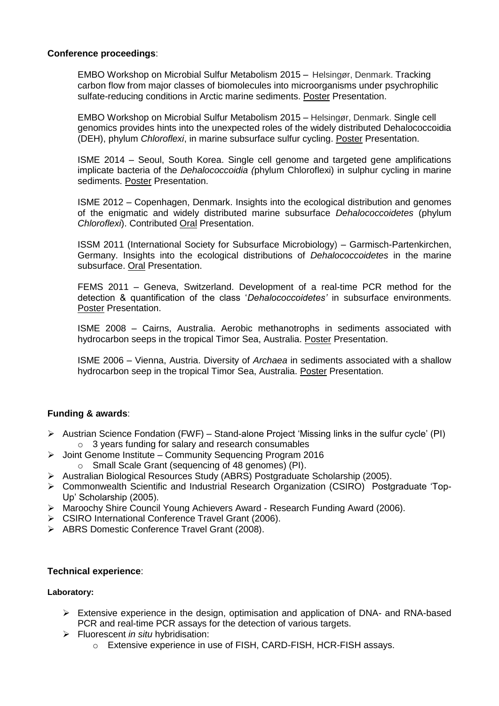# **Conference proceedings**:

EMBO Workshop on Microbial Sulfur Metabolism 2015 – Helsingør, Denmark. Tracking carbon flow from major classes of biomolecules into microorganisms under psychrophilic sulfate-reducing conditions in Arctic marine sediments. Poster Presentation.

EMBO Workshop on Microbial Sulfur Metabolism 2015 – Helsingør, Denmark. Single cell genomics provides hints into the unexpected roles of the widely distributed Dehalococcoidia (DEH), phylum *Chloroflexi*, in marine subsurface sulfur cycling. Poster Presentation.

ISME 2014 – Seoul, South Korea. Single cell genome and targeted gene amplifications implicate bacteria of the *Dehalococcoidia (*phylum Chloroflexi) in sulphur cycling in marine sediments. Poster Presentation.

ISME 2012 – Copenhagen, Denmark. Insights into the ecological distribution and genomes of the enigmatic and widely distributed marine subsurface *Dehalococcoidetes* (phylum *Chloroflexi*). Contributed Oral Presentation.

ISSM 2011 (International Society for Subsurface Microbiology) – Garmisch-Partenkirchen, Germany. Insights into the ecological distributions of *Dehalococcoidetes* in the marine subsurface. Oral Presentation.

FEMS 2011 – Geneva, Switzerland. Development of a real-time PCR method for the detection & quantification of the class '*Dehalococcoidetes'* in subsurface environments. Poster Presentation.

ISME 2008 – Cairns, Australia. Aerobic methanotrophs in sediments associated with hydrocarbon seeps in the tropical Timor Sea, Australia. Poster Presentation.

ISME 2006 – Vienna, Austria. Diversity of *Archaea* in sediments associated with a shallow hydrocarbon seep in the tropical Timor Sea, Australia. Poster Presentation.

# **Funding & awards**:

- $\triangleright$  Austrian Science Fondation (FWF) Stand-alone Project 'Missing links in the sulfur cycle' (PI) o 3 years funding for salary and research consumables
- Joint Genome Institute Community Sequencing Program 2016
	- o Small Scale Grant (sequencing of 48 genomes) (PI).
- Australian Biological Resources Study (ABRS) Postgraduate Scholarship (2005).
- Commonwealth Scientific and Industrial Research Organization (CSIRO) Postgraduate 'Top-Up' Scholarship (2005).
- Maroochy Shire Council Young Achievers Award Research Funding Award (2006).
- CSIRO International Conference Travel Grant (2006).
- > ABRS Domestic Conference Travel Grant (2008).

# **Technical experience**:

### **Laboratory:**

- $\triangleright$  Extensive experience in the design, optimisation and application of DNA- and RNA-based PCR and real-time PCR assays for the detection of various targets.
- Fluorescent *in situ* hybridisation:
	- o Extensive experience in use of FISH, CARD-FISH, HCR-FISH assays.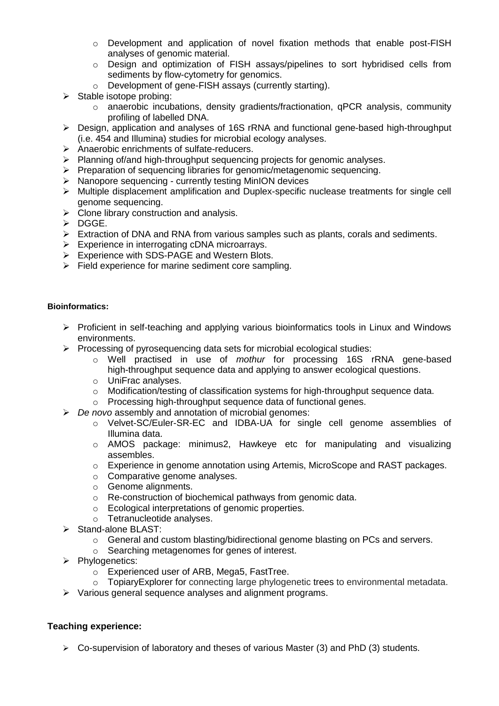- o Development and application of novel fixation methods that enable post-FISH analyses of genomic material.
- o Design and optimization of FISH assays/pipelines to sort hybridised cells from sediments by flow-cytometry for genomics.
- o Development of gene-FISH assays (currently starting).
- $\triangleright$  Stable isotope probing:
	- o anaerobic incubations, density gradients/fractionation, qPCR analysis, community profiling of labelled DNA.
- Design, application and analyses of 16S rRNA and functional gene-based high-throughput (i.e. 454 and Illumina) studies for microbial ecology analyses.
- Anaerobic enrichments of sulfate-reducers.
- $\triangleright$  Planning of/and high-throughput sequencing projects for genomic analyses.
- $\triangleright$  Preparation of sequencing libraries for genomic/metagenomic sequencing.
- Nanopore sequencing currently testing MinION devices
- Multiple displacement amplification and Duplex-specific nuclease treatments for single cell genome sequencing.
- $\triangleright$  Clone library construction and analysis.
- > DGGE.
- Extraction of DNA and RNA from various samples such as plants, corals and sediments.
- Experience in interrogating cDNA microarrays.
- ▶ Experience with SDS-PAGE and Western Blots.
- $\triangleright$  Field experience for marine sediment core sampling.

### **Bioinformatics:**

- Proficient in self-teaching and applying various bioinformatics tools in Linux and Windows environments.
- $\triangleright$  Processing of pyrosequencing data sets for microbial ecological studies:
	- o Well practised in use of *mothur* for processing 16S rRNA gene-based high-throughput sequence data and applying to answer ecological questions.
	- o UniFrac analyses.
	- o Modification/testing of classification systems for high-throughput sequence data.
	- o Processing high-throughput sequence data of functional genes.
- *De novo* assembly and annotation of microbial genomes:
	- o Velvet-SC/Euler-SR-EC and IDBA-UA for single cell genome assemblies of Illumina data.
	- o AMOS package: minimus2, Hawkeye etc for manipulating and visualizing assembles.
	- o Experience in genome annotation using Artemis, MicroScope and RAST packages.
	- o Comparative genome analyses.
	- o Genome alignments.
	- o Re-construction of biochemical pathways from genomic data.
	- o Ecological interpretations of genomic properties.
	- o Tetranucleotide analyses.
- $\triangleright$  Stand-alone BLAST:
	- $\circ$  General and custom blasting/bidirectional genome blasting on PCs and servers.
	- o Searching metagenomes for genes of interest.
- $\triangleright$  Phylogenetics:
	- o Experienced user of ARB, Mega5, FastTree.
	- o TopiaryExplorer for connecting large phylogenetic trees to environmental metadata.
- $\triangleright$  Various general sequence analyses and alignment programs.

# **Teaching experience:**

 $\triangleright$  Co-supervision of laboratory and theses of various Master (3) and PhD (3) students.